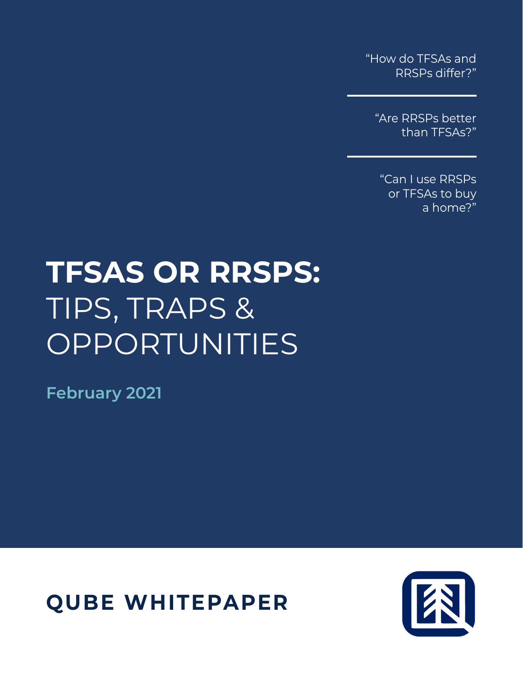"How do TFSAs and RRSPs differ?"

"Are RRSPs better than TFSAs?"

"Can I use RRSPs or TFSAs to buy a home?"

# **TFSAS OR RRSPS:** TIPS, TRAPS & OPPORTUNITIES

**February 2021**

**QUBE WHITEPAPER**

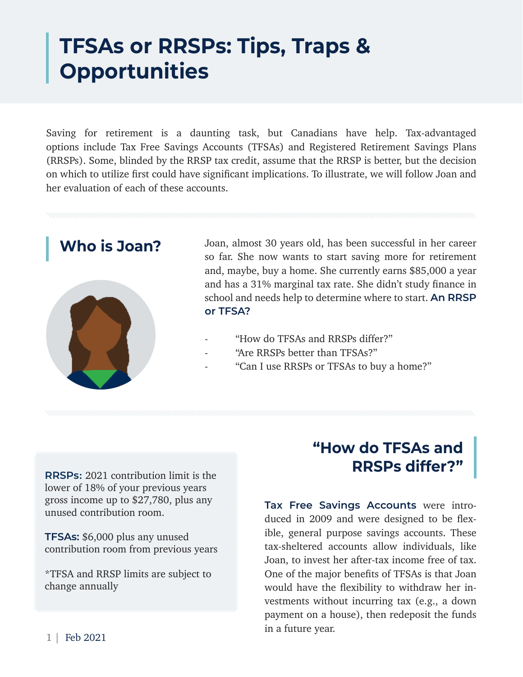# **TFSAs or RRSPs: Tips, Traps & Opportunities**

Saving for retirement is a daunting task, but Canadians have help. Tax-advantaged options include Tax Free Savings Accounts (TFSAs) and Registered Retirement Savings Plans (RRSPs). Some, blinded by the RRSP tax credit, assume that the RRSP is better, but the decision on which to utilize first could have significant implications. To illustrate, we will follow Joan and her evaluation of each of these accounts.



Who is Joan? Joan, almost 30 years old, has been successful in her career so far. She now wants to start saving more for retirement and, maybe, buy a home. She currently earns \$85,000 a year and has a 31% marginal tax rate. She didn't study finance in school and needs help to determine where to start. **An RRSP or TFSA?**

- "How do TFSAs and RRSPs differ?"
- "Are RRSPs better than TFSAs?"
- "Can I use RRSPs or TFSAs to buy a home?"

**RRSPs:** 2021 contribution limit is the lower of 18% of your previous years gross income up to \$27,780, plus any unused contribution room.

**TFSAs:** \$6,000 plus any unused contribution room from previous years

\*TFSA and RRSP limits are subject to change annually

# **"How do TFSAs and RRSPs differ?"**

**Tax Free Savings Accounts** were introduced in 2009 and were designed to be flexible, general purpose savings accounts. These tax-sheltered accounts allow individuals, like Joan, to invest her after-tax income free of tax. One of the major benefits of TFSAs is that Joan would have the flexibility to withdraw her investments without incurring tax (e.g., a down payment on a house), then redeposit the funds in a future year.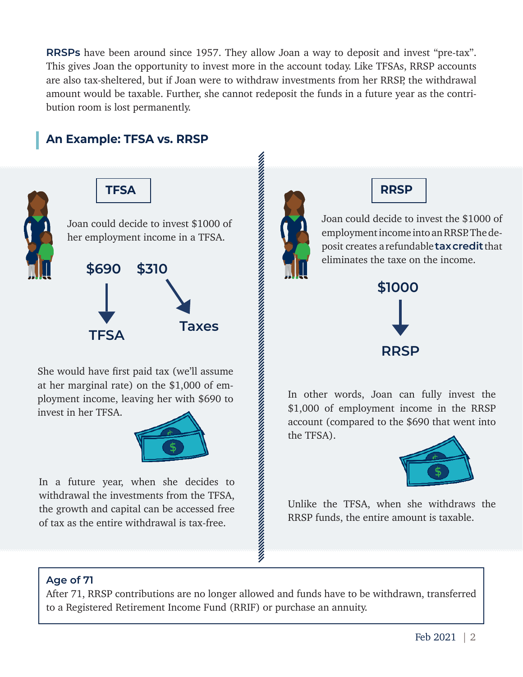**RRSPs** have been around since 1957. They allow Joan a way to deposit and invest "pre-tax". This gives Joan the opportunity to invest more in the account today. Like TFSAs, RRSP accounts are also tax-sheltered, but if Joan were to withdraw investments from her RRSP, the withdrawal amount would be taxable. Further, she cannot redeposit the funds in a future year as the contribution room is lost permanently.

## **An Example: TFSA vs. RRSP**





She would have first paid tax (we'll assume at her marginal rate) on the \$1,000 of employment income, leaving her with \$690 to invest in her TFSA.



In a future year, when she decides to withdrawal the investments from the TFSA, the growth and capital can be accessed free of tax as the entire withdrawal is tax-free.





Joan could decide to invest the \$1000 of employment income into an RRSP. The deposit creates a refundable **tax credit** that eliminates the taxe on the income.



In other words, Joan can fully invest the \$1,000 of employment income in the RRSP account (compared to the \$690 that went into the TFSA).



Unlike the TFSA, when she withdraws the RRSP funds, the entire amount is taxable.

### **Age of 71**

After 71, RRSP contributions are no longer allowed and funds have to be withdrawn, transferred to a Registered Retirement Income Fund (RRIF) or purchase an annuity.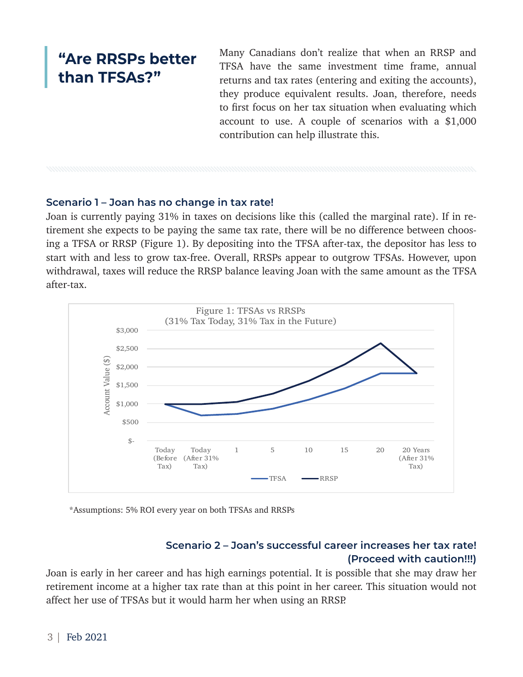# **"Are RRSPs better than TFSAs?"**

Many Canadians don't realize that when an RRSP and TFSA have the same investment time frame, annual returns and tax rates (entering and exiting the accounts), they produce equivalent results. Joan, therefore, needs to first focus on her tax situation when evaluating which account to use. A couple of scenarios with a \$1,000 contribution can help illustrate this.

### **Scenario 1 – Joan has no change in tax rate!**

Joan is currently paying 31% in taxes on decisions like this (called the marginal rate). If in retirement she expects to be paying the same tax rate, there will be no difference between choosing a TFSA or RRSP (Figure 1). By depositing into the TFSA after-tax, the depositor has less to start with and less to grow tax-free. Overall, RRSPs appear to outgrow TFSAs. However, upon withdrawal, taxes will reduce the RRSP balance leaving Joan with the same amount as the TFSA after-tax.



\*Assumptions: 5% ROI every year on both TFSAs and RRSPs

### **Scenario 2 – Joan's successful career increases her tax rate! (Proceed with caution!!!)**

Joan is early in her career and has high earnings potential. It is possible that she may draw her retirement income at a higher tax rate than at this point in her career. This situation would not affect her use of TFSAs but it would harm her when using an RRSP.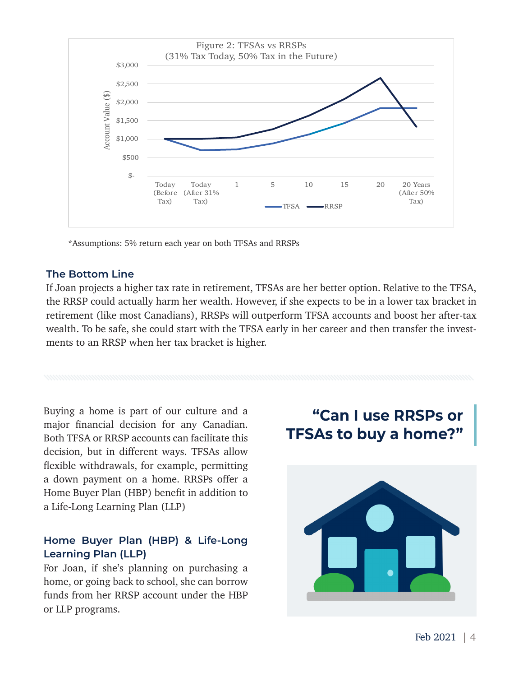

\*Assumptions: 5% return each year on both TFSAs and RRSPs

#### **The Bottom Line**

If Joan projects a higher tax rate in retirement, TFSAs are her better option. Relative to the TFSA, the RRSP could actually harm her wealth. However, if she expects to be in a lower tax bracket in retirement (like most Canadians), RRSPs will outperform TFSA accounts and boost her after-tax wealth. To be safe, she could start with the TFSA early in her career and then transfer the investments to an RRSP when her tax bracket is higher.

Buying a home is part of our culture and a major financial decision for any Canadian. Both TFSA or RRSP accounts can facilitate this decision, but in different ways. TFSAs allow flexible withdrawals, for example, permitting a down payment on a home. RRSPs offer a Home Buyer Plan (HBP) benefit in addition to a Life-Long Learning Plan (LLP)

### **Home Buyer Plan (HBP) & Life-Long Learning Plan (LLP)**

For Joan, if she's planning on purchasing a home, or going back to school, she can borrow funds from her RRSP account under the HBP or LLP programs.

# **"Can I use RRSPs or TFSAs to buy a home?"**

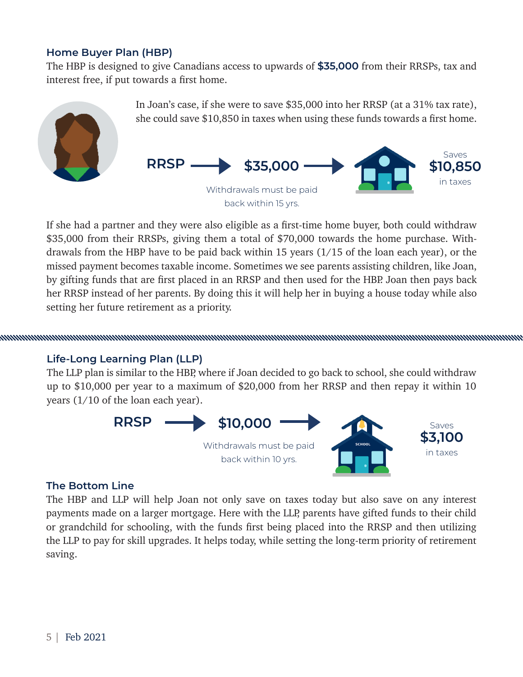### **Home Buyer Plan (HBP)**

The HBP is designed to give Canadians access to upwards of **\$35,000** from their RRSPs, tax and interest free, if put towards a first home.



If she had a partner and they were also eligible as a first-time home buyer, both could withdraw \$35,000 from their RRSPs, giving them a total of \$70,000 towards the home purchase. Withdrawals from the HBP have to be paid back within 15 years (1/15 of the loan each year), or the missed payment becomes taxable income. Sometimes we see parents assisting children, like Joan, by gifting funds that are first placed in an RRSP and then used for the HBP. Joan then pays back her RRSP instead of her parents. By doing this it will help her in buying a house today while also setting her future retirement as a priority.

#### **Life-Long Learning Plan (LLP)**

The LLP plan is similar to the HBP, where if Joan decided to go back to school, she could withdraw up to \$10,000 per year to a maximum of \$20,000 from her RRSP and then repay it within 10 years (1/10 of the loan each year).



#### **The Bottom Line**

The HBP and LLP will help Joan not only save on taxes today but also save on any interest payments made on a larger mortgage. Here with the LLP, parents have gifted funds to their child or grandchild for schooling, with the funds first being placed into the RRSP and then utilizing the LLP to pay for skill upgrades. It helps today, while setting the long-term priority of retirement saving.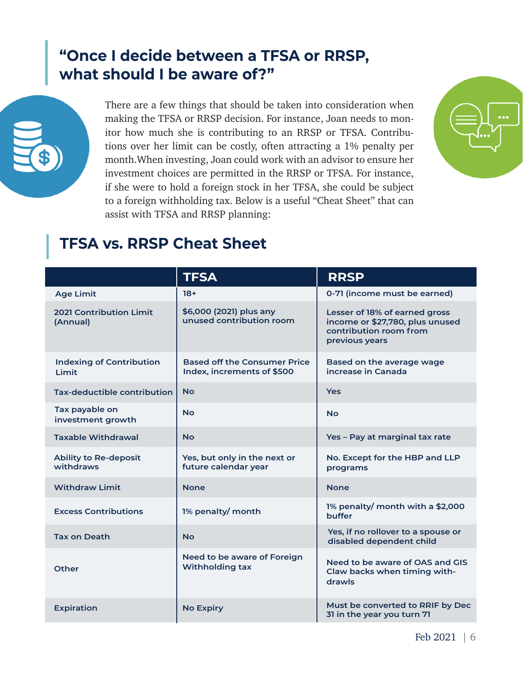# **"Once I decide between a TFSA or RRSP, what should I be aware of?"**



There are a few things that should be taken into consideration when making the TFSA or RRSP decision. For instance, Joan needs to monitor how much she is contributing to an RRSP or TFSA. Contributions over her limit can be costly, often attracting a 1% penalty per month.When investing, Joan could work with an advisor to ensure her investment choices are permitted in the RRSP or TFSA. For instance, if she were to hold a foreign stock in her TFSA, she could be subject to a foreign withholding tax. Below is a useful "Cheat Sheet" that can assist with TFSA and RRSP planning:



# **TFSA vs. RRSP Cheat Sheet**

|                                            | <b>TFSA</b>                                                       | <b>RRSP</b>                                                                                                  |
|--------------------------------------------|-------------------------------------------------------------------|--------------------------------------------------------------------------------------------------------------|
| <b>Age Limit</b>                           | $18+$                                                             | 0-71 (income must be earned)                                                                                 |
| <b>2021 Contribution Limit</b><br>(Annual) | \$6,000 (2021) plus any<br>unused contribution room               | Lesser of 18% of earned gross<br>income or \$27,780, plus unused<br>contribution room from<br>previous years |
| <b>Indexing of Contribution</b><br>Limit   | <b>Based off the Consumer Price</b><br>Index, increments of \$500 | Based on the average wage<br>increase in Canada                                                              |
| Tax-deductible contribution                | <b>No</b>                                                         | <b>Yes</b>                                                                                                   |
| Tax payable on<br>investment growth        | <b>No</b>                                                         | <b>No</b>                                                                                                    |
| <b>Taxable Withdrawal</b>                  | <b>No</b>                                                         | Yes - Pay at marginal tax rate                                                                               |
| <b>Ability to Re-deposit</b><br>withdraws  | Yes, but only in the next or<br>future calendar year              | No. Except for the HBP and LLP<br>programs                                                                   |
| <b>Withdraw Limit</b>                      | <b>None</b>                                                       | <b>None</b>                                                                                                  |
| <b>Excess Contributions</b>                | 1% penalty/ month                                                 | 1% penalty/ month with a \$2,000<br>buffer                                                                   |
| <b>Tax on Death</b>                        | <b>No</b>                                                         | Yes, if no rollover to a spouse or<br>disabled dependent child                                               |
| Other                                      | Need to be aware of Foreign<br><b>Withholding tax</b>             | Need to be aware of OAS and GIS<br>Claw backs when timing with-<br>drawls                                    |
| <b>Expiration</b>                          | <b>No Expiry</b>                                                  | Must be converted to RRIF by Dec<br>31 in the year you turn 71                                               |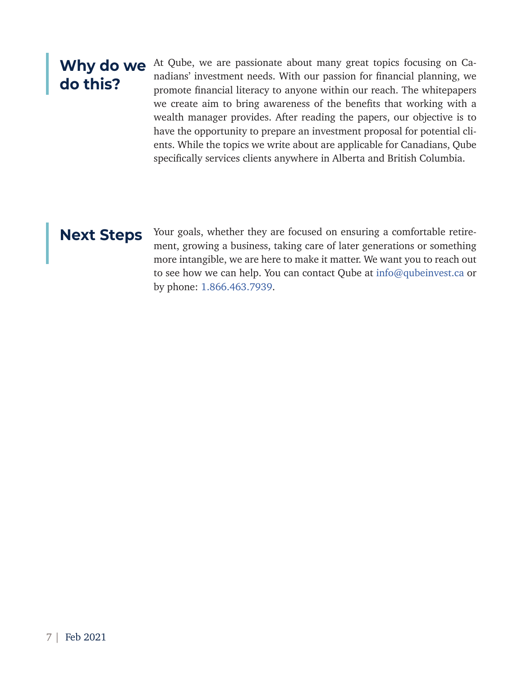# **Why do we do this?**

At Qube, we are passionate about many great topics focusing on Canadians' investment needs. With our passion for financial planning, we promote financial literacy to anyone within our reach. The whitepapers we create aim to bring awareness of the benefits that working with a wealth manager provides. After reading the papers, our objective is to have the opportunity to prepare an investment proposal for potential clients. While the topics we write about are applicable for Canadians, Qube specifically services clients anywhere in Alberta and British Columbia.

Next Steps Your goals, whether they are focused on ensuring a comfortable retirement, growing a business, taking care of later generations or something more intangible, we are here to make it matter. We want you to reach out to see how we can help. You can contact Qube at info@qubeinvest.ca or by phone: 1.866.463.7939.